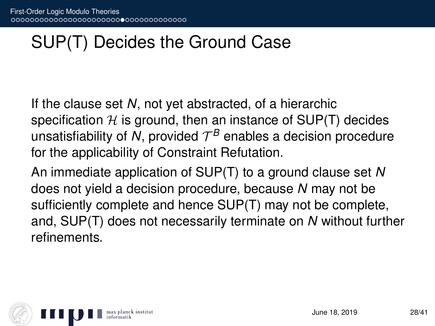# SUP(T) Decides the Ground Case

If the clause set *N*, not yet abstracted, of a hierarchic specification  $H$  is ground, then an instance of SUP(T) decides unsatisfiability of N, provided  $\mathcal{T}^{\mathcal{B}}$  enables a decision procedure for the applicability of Constraint Refutation.

An immediate application of SUP(T) to a ground clause set *N* does not yield a decision procedure, because *N* may not be sufficiently complete and hence SUP(T) may not be complete, and, SUP(T) does not necessarily terminate on *N* without further refinements.

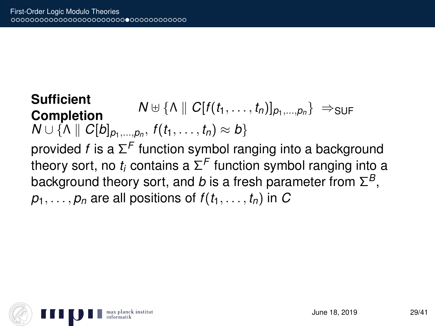**Sufficient Completion**  $N \oplus \{\Lambda \mid C[f(t_1, \ldots, t_n)]_{p_1, \ldots, p_n}\} \Rightarrow$ SUF  $N \cup \{ \wedge \parallel C[b]_{p_1,...,p_n}, f(t_1,...,t_n) \approx b \}$ provided *f* is a Σ *F* function symbol ranging into a background theory sort, no  $t_i$  contains a  $\Sigma^\mathcal{F}$  function symbol ranging into a background theory sort, and *b* is a fresh parameter from  $\Sigma^B,$  $p_1, \ldots, p_n$  are all positions of  $f(t_1, \ldots, t_n)$  in *C* 

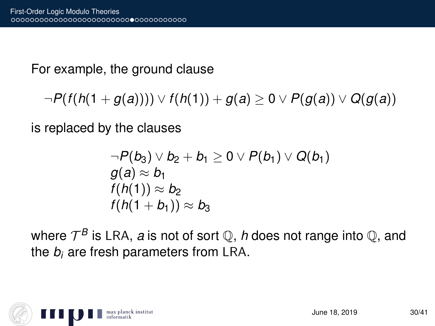For example, the ground clause

 $\neg P(f(h(1+g(a)))) \vee f(h(1)) + g(a) ≥ 0 ∨ P(g(a)) ∨ Q(g(a))$ 

is replaced by the clauses

$$
\neg P(b_3) \vee b_2 + b_1 \geq 0 \vee P(b_1) \vee Q(b_1) g(a) \approx b_1 f(h(1)) \approx b_2 f(h(1 + b_1)) \approx b_3
$$

where  $\mathcal{T}^{\mathcal{B}}$  is LRA, *a* is not of sort  $\mathbb{Q},$  *h* does not range into  $\mathbb{Q},$  and the *b<sup>i</sup>* are fresh parameters from LRA.

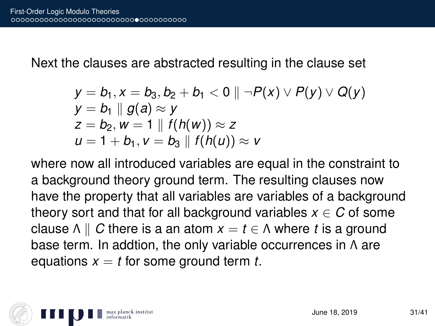Next the clauses are abstracted resulting in the clause set

$$
y = b_1, x = b_3, b_2 + b_1 < 0 \parallel \neg P(x) \vee P(y) \vee Q(y)
$$
  
\n
$$
y = b_1 \parallel g(a) \approx y
$$
  
\n
$$
z = b_2, w = 1 \parallel f(h(w)) \approx z
$$
  
\n
$$
u = 1 + b_1, v = b_3 \parallel f(h(u)) \approx v
$$

where now all introduced variables are equal in the constraint to a background theory ground term. The resulting clauses now have the property that all variables are variables of a background theory sort and that for all background variables  $x \in C$  of some clause  $\Lambda \parallel C$  there is a an atom  $x = t \in \Lambda$  where *t* is a ground base term. In addtion, the only variable occurrences in Λ are equations  $x = t$  for some ground term  $t$ .

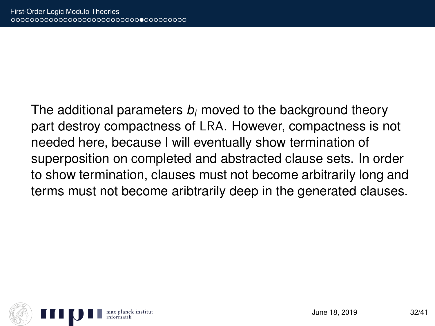The additional parameters *b<sup>i</sup>* moved to the background theory part destroy compactness of LRA. However, compactness is not needed here, because I will eventually show termination of superposition on completed and abstracted clause sets. In order to show termination, clauses must not become arbitrarily long and terms must not become aribtrarily deep in the generated clauses.

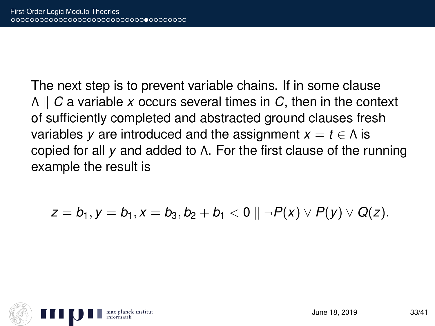The next step is to prevent variable chains. If in some clause Λ k *C* a variable *x* occurs several times in *C*, then in the context of sufficiently completed and abstracted ground clauses fresh variables *y* are introduced and the assignment  $x = t \in \Lambda$  is copied for all *y* and added to Λ. For the first clause of the running example the result is

$$
z = b_1, y = b_1, x = b_3, b_2 + b_1 < 0 \parallel \neg P(x) \vee P(y) \vee Q(z).
$$

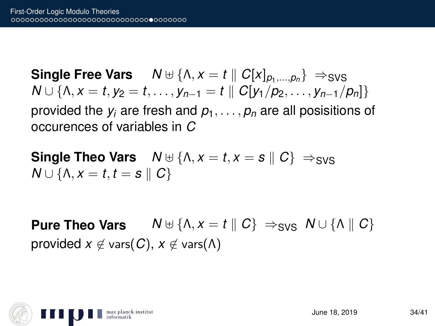**Single Free Vars**  $N \oplus \{\Lambda, x = t \mid C[X]_{p_1,...,p_n}\} \Rightarrow$ SVS  $N \cup \{ \Lambda, x = t, y_2 = t, \ldots, y_{n-1} = t \mid C[y_1/p_2, \ldots, y_{n-1}/p_n] \}$ provided the  $y_i$  are fresh and  $p_1, \ldots, p_n$  are all posisitions of occurences of variables in *C*

**Single Theo Vars**  $N \oplus \{ \Lambda, x = t, x = s \mid C \} \Rightarrow_{SVS}$ *N* ∪ {Λ, *x* = *t*, *t* = *s*  $\parallel$  *C*}

**Pure Theo Vars**  $N \oplus \{\Lambda, x = t \mid C\} \Rightarrow_{\text{SVS}} N \cup \{\Lambda \mid C\}$ provided  $x \notin \text{vars}(C)$ ,  $x \notin \text{vars}(\Lambda)$ 

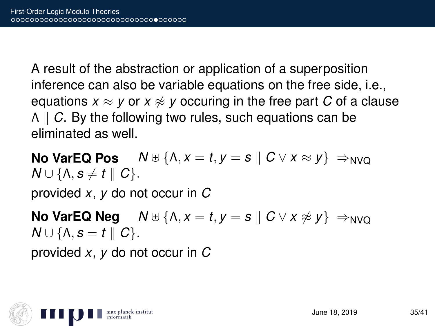A result of the abstraction or application of a superposition inference can also be variable equations on the free side, i.e., equations  $x \approx y$  or  $x \not\approx y$  occuring in the free part C of a clause Λ k *C*. By the following two rules, such equations can be eliminated as well.

**No VarEQ Pos**  $N \oplus \{\Lambda, x = t, y = s \mid C \vee x \approx y\} \Rightarrow_{N\vee\Omega}$  $N \cup \{ \Lambda, s \neq t \parallel C \}.$ 

provided *x*, *y* do not occur in *C*

**No VarEQ Neg**  $N \oplus \{\Lambda, x = t, y = s \mid C \vee x \not\approx y\} \Rightarrow_{N \vee C}$  $N \cup \{ \Lambda, s = t \parallel C \}.$ 

provided *x*, *y* do not occur in *C*

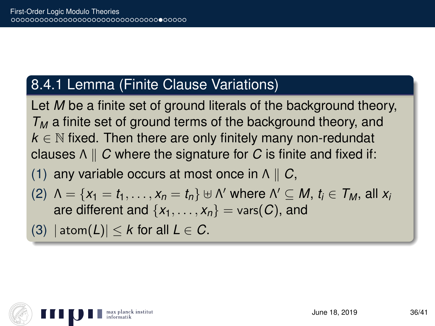#### 8.4.1 Lemma (Finite Clause Variations)

Let *M* be a finite set of ground literals of the background theory, *T<sup>M</sup>* a finite set of ground terms of the background theory, and  $k \in \mathbb{N}$  fixed. Then there are only finitely many non-redundat clauses  $\wedge \parallel C$  where the signature for *C* is finite and fixed if:

(1) any variable occurs at most once in  $\Lambda \parallel C$ ,

- (2)  $\Lambda = \{x_1 = t_1, \ldots, x_n = t_n\}$   $\forall \Lambda'$  where  $\Lambda' \subseteq M$ ,  $t_i \in \mathcal{T}_M$ , all  $x_i$ are different and  $\{x_1, \ldots, x_n\}$  = vars(C), and
- (3)  $|\text{atom}(L)| < k$  for all  $L \in \mathbb{C}$ .

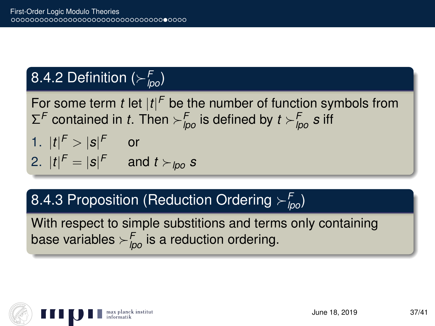## 8.4.2 Definition (*<sup>F</sup> lpo*)

For some term *t* let  $|t|^F$  be the number of function symbols from  $\Sigma^{\mathsf{F}}$  contained in *t*. Then  $\succ^{\mathsf{F}}_{\mathsf{Ipo}}$  is defined by  $t\succ^{\mathsf{F}}_{\mathsf{Ipo}} s$  iff

1. 
$$
|t|^F > |s|^F
$$
 or  
2.  $|t|^F = |s|^F$  and  $t >_{\text{pop}} s$ 

### 8.4.3 Proposition (Reduction Ordering *<sup>F</sup> lpo*)

With respect to simple substitions and terms only containing base variables  $\succ^F_{\mathit{lpo}}$  is a reduction ordering.

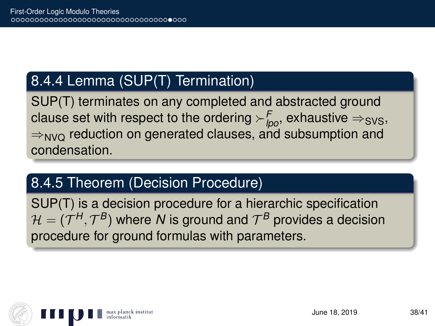### 8.4.4 Lemma (SUP(T) Termination)

SUP(T) terminates on any completed and abstracted ground clause set with respect to the ordering  $\succ^F_{\textit{lpo}},$  exhaustive  $\Rightarrow_{\textit{SVS}},$  $\Rightarrow_{NVO}$  reduction on generated clauses, and subsumption and condensation.

### 8.4.5 Theorem (Decision Procedure)

SUP(T) is a decision procedure for a hierarchic specification  $\mathcal{H} = (\mathcal{T}^H, \mathcal{T}^B)$  where  $\bm{\mathcal{N}}$  is ground and  $\mathcal{T}^B$  provides a decision procedure for ground formulas with parameters.

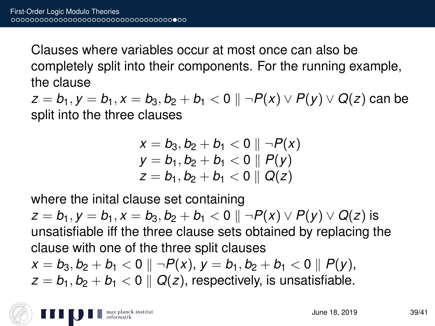Clauses where variables occur at most once can also be completely split into their components. For the running example, the clause

 $z = b_1, y = b_1, x = b_3, b_2 + b_1 < 0 \parallel \neg P(x) \vee P(y) \vee Q(z)$  can be split into the three clauses

$$
x = b_3, b_2 + b_1 < 0 \parallel \neg P(x)
$$
  
\n
$$
y = b_1, b_2 + b_1 < 0 \parallel P(y)
$$
  
\n
$$
z = b_1, b_2 + b_1 < 0 \parallel Q(z)
$$

where the inital clause set containing

 $z = b_1, y = b_1, x = b_3, b_2 + b_1 < 0 \parallel \neg P(x) \vee P(y) \vee Q(z)$  is unsatisfiable iff the three clause sets obtained by replacing the clause with one of the three split clauses  $x = b_3, b_2 + b_1 < 0 \parallel \neg P(x), y = b_1, b_2 + b_1 < 0 \parallel P(y),$ 

 $z = b_1, b_2 + b_1 < 0 \parallel Q(z)$ , respectively, is unsatisfiable.